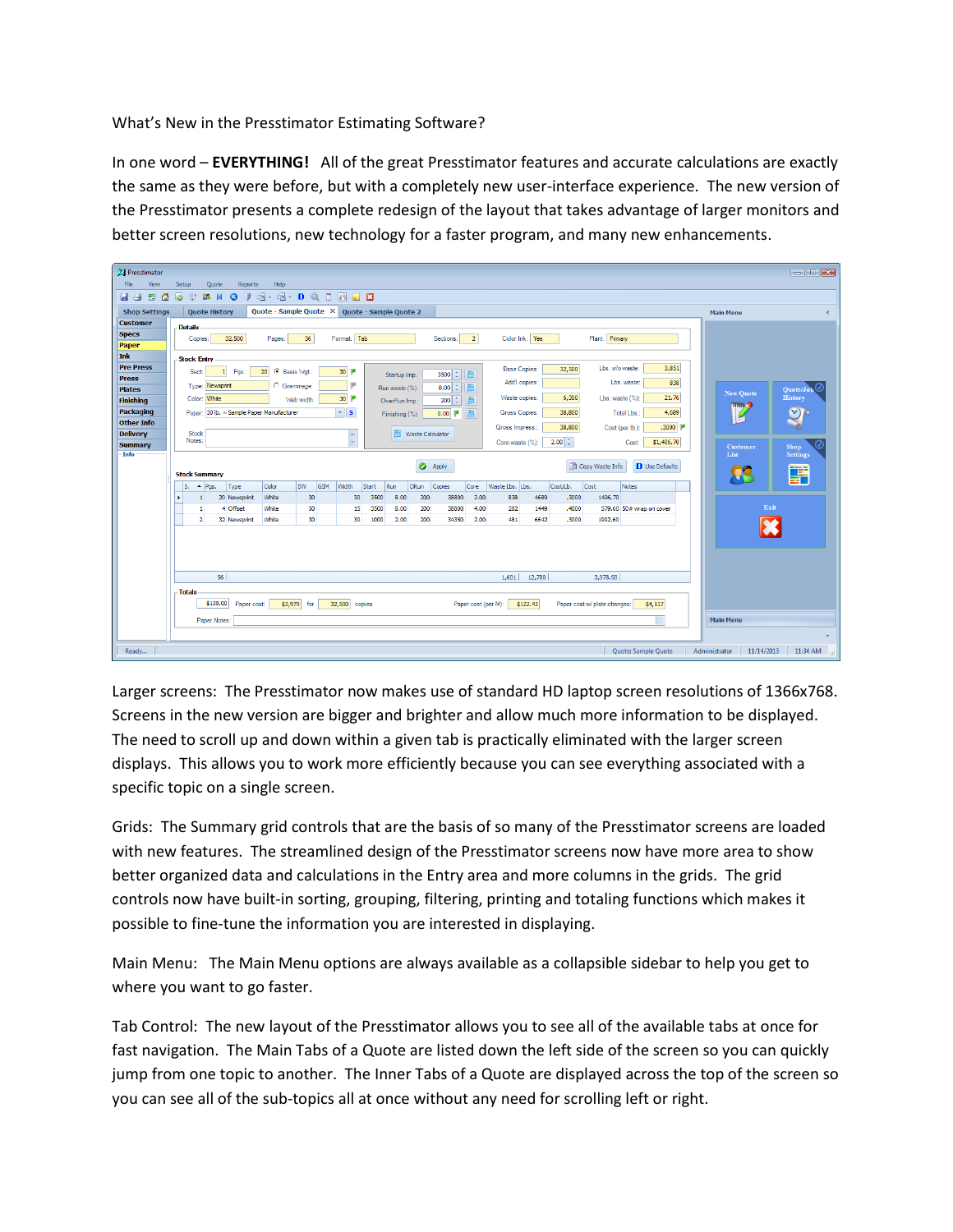What's New in the Presstimator Estimating Software?

In one word – **EVERYTHING!** All of the great Presstimator features and accurate calculations are exactly the same as they were before, but with a completely new user-interface experience. The new version of the Presstimator presents a complete redesign of the layout that takes advantage of larger monitors and better screen resolutions, new technology for a faster program, and many new enhancements.



Larger screens: The Presstimator now makes use of standard HD laptop screen resolutions of 1366x768. Screens in the new version are bigger and brighter and allow much more information to be displayed. The need to scroll up and down within a given tab is practically eliminated with the larger screen displays. This allows you to work more efficiently because you can see everything associated with a specific topic on a single screen.

Grids: The Summary grid controls that are the basis of so many of the Presstimator screens are loaded with new features. The streamlined design of the Presstimator screens now have more area to show better organized data and calculations in the Entry area and more columns in the grids. The grid controls now have built-in sorting, grouping, filtering, printing and totaling functions which makes it possible to fine-tune the information you are interested in displaying.

Main Menu: The Main Menu options are always available as a collapsible sidebar to help you get to where you want to go faster.

Tab Control: The new layout of the Presstimator allows you to see all of the available tabs at once for fast navigation. The Main Tabs of a Quote are listed down the left side of the screen so you can quickly jump from one topic to another. The Inner Tabs of a Quote are displayed across the top of the screen so you can see all of the sub-topics all at once without any need for scrolling left or right.